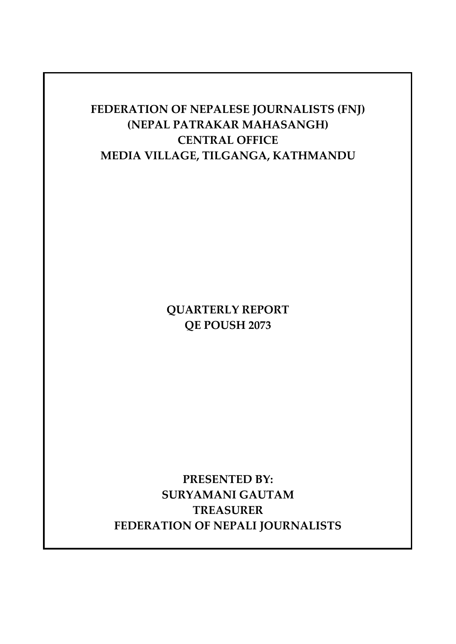## **FEDERATION OF NEPALESE JOURNALISTS (FNJ) (NEPAL PATRAKAR MAHASANGH) CENTRAL OFFICE MEDIA VILLAGE, TILGANGA, KATHMANDU**

**QUARTERLY REPORT QE POUSH 2073**

**PRESENTED BY: SURYAMANI GAUTAM TREASURER FEDERATION OF NEPALI JOURNALISTS**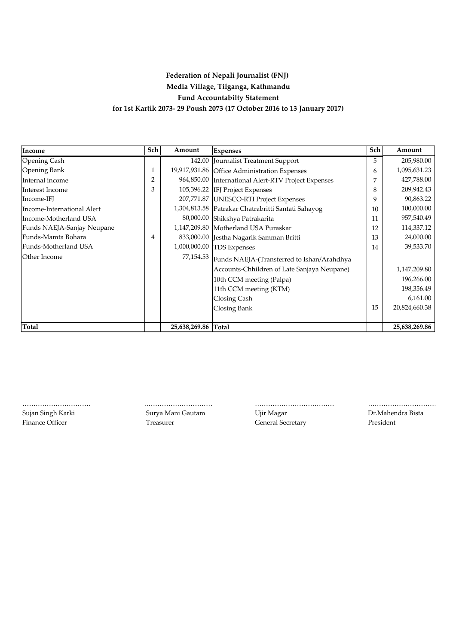## **Federation of Nepali Journalist (FNJ) Fund Accountabilty Statement for 1st Kartik 2073- 29 Poush 2073 (17 October 2016 to 13 January 2017) Media Village, Tilganga, Kathmandu**

| Income                     | Sch            | Amount              | <b>Expenses</b>                                    | Sch | Amount        |
|----------------------------|----------------|---------------------|----------------------------------------------------|-----|---------------|
| Opening Cash               |                |                     | 142.00 Journalist Treatment Support                | 5   | 205,980.00    |
| Opening Bank               | 1              |                     | 19,917,931.86 Office Administration Expenses       | 6   | 1,095,631.23  |
| Internal income            | $\overline{2}$ | 964,850.00          | International Alert-RTV Project Expenses           |     | 427,788.00    |
| Interest Income            | 3              |                     | 105,396.22 IFJ Project Expenses                    | 8   | 209,942.43    |
| Income-IFJ                 |                |                     | 207,771.87 UNESCO-RTI Project Expenses             | 9   | 90,863.22     |
| Income-International Alert |                |                     | 1,304,813.58 Patrakar Chatrabritti Santati Sahayog | 10  | 100,000.00    |
| Income-Motherland USA      |                |                     | 80,000.00 Shikshya Patrakarita                     | 11  | 957,540.49    |
| Funds NAEJA-Sanjay Neupane |                |                     | 1,147,209.80 Motherland USA Puraskar               | 12  | 114,337.12    |
| Funds-Mamta Bohara         | 4              |                     | 833,000.00 Jestha Nagarik Samman Britti            | 13  | 24,000.00     |
| Funds-Motherland USA       |                |                     | 1,000,000.00 TDS Expenses                          | 14  | 39,533.70     |
| Other Income               |                | 77,154.53           | Funds NAEJA-(Transferred to Ishan/Arahdhya         |     |               |
|                            |                |                     | Accounts-Chhildren of Late Sanjaya Neupane)        |     | 1,147,209.80  |
|                            |                |                     | 10th CCM meeting (Palpa)                           |     | 196,266.00    |
|                            |                |                     | 11th CCM meeting (KTM)                             |     | 198,356.49    |
|                            |                |                     | Closing Cash                                       |     | 6,161.00      |
|                            |                |                     | Closing Bank                                       | 15  | 20,824,660.38 |
|                            |                |                     |                                                    |     |               |
| <b>Total</b>               |                | 25,638,269.86 Total |                                                    |     | 25,638,269.86 |

Sujan Singh Karki **Surya Mani Gautam Cautam** Cipir Magar **Nagar** Dr.Mahendra Bista

Finance Officer Treasurer Treasurer Ceneral Secretary President

………………………….…………………………………………………… ……………………………… ………………………………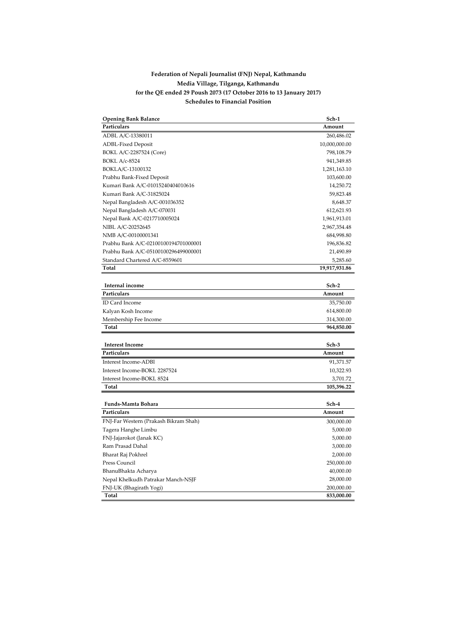## **Schedules to Financial Position Federation of Nepali Journalist (FNJ) Nepal, Kathmandu Media Village, Tilganga, Kathmandu for the QE ended 29 Poush 2073 (17 October 2016 to 13 January 2017)**

| <b>Opening Bank Balance</b>           | Sch-1         |
|---------------------------------------|---------------|
| Particulars                           | Amount        |
| ADBL A/C-13380011                     | 260,486.02    |
| <b>ADBL-Fixed Deposit</b>             | 10,000,000.00 |
| BOKL A/C-2287524 (Core)               | 798,108.79    |
| <b>BOKL A/c-8524</b>                  | 941,349.85    |
| BOKLA/C-13100132                      | 1,281,163.10  |
| Prabhu Bank-Fixed Deposit             | 103,600.00    |
| Kumari Bank A/C-01015240404010616     | 14,250.72     |
| Kumari Bank A/C-31825024              | 59,823.48     |
| Nepal Bangladesh A/C-001036352        | 8,648.37      |
| Nepal Bangladesh A/C-070031           | 612,621.93    |
| Nepal Bank A/C-0217710005024          | 1,961,913.01  |
| NIBL A/C-20252645                     | 2,967,354.48  |
| NMB A/C-00100001341                   | 684,998.80    |
| Prabhu Bank A/C-02100100194701000001  | 196,836.82    |
| Prabhu Bank A/C-05100100296499000001  | 21,490.89     |
| Standard Chartered A/C-8559601        | 5,285.60      |
| Total                                 | 19,917,931.86 |
|                                       |               |
| Internal income                       | Sch-2         |
| Particulars                           | Amount        |
| ID Card Income                        | 35,750.00     |
| Kalyan Kosh Income                    | 614,800.00    |
| Membership Fee Income                 | 314,300.00    |
| Total                                 | 964,850.00    |
|                                       |               |
| <b>Interest Income</b>                | Sch-3         |
| Particulars                           | Amount        |
| Interest Income-ADB1                  | 91,371.57     |
| Interest Income-BOKL 2287524          | 10,322.93     |
| Interest Income-BOKL 8524             | 3,701.72      |
| Total                                 | 105,396.22    |
|                                       |               |
| Funds-Mamta Bohara                    | Sch-4         |
| Particulars                           | Amount        |
| FNJ-Far Western (Prakash Bikram Shah) | 300,000.00    |
| Tagera Hanghe Limbu                   | 5,000.00      |
| FNJ-Jajarokot (Janak KC)              | 5,000.00      |
| Ram Prasad Dahal                      | 3,000.00      |
| Bharat Raj Pokhrel                    | 2,000.00      |
| Press Council                         | 250,000.00    |
| BhanuBhakta Acharya                   | 40,000.00     |
| Nepal Khelkudh Patrakar Manch-NSJF    | 28,000.00     |
| FNJ-UK (Bhagirath Yogi)               | 200,000.00    |
| Total                                 | 833,000.00    |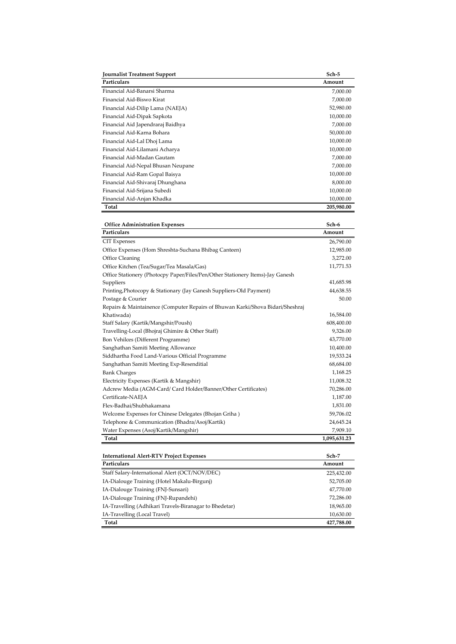| <b>Journalist Treatment Support</b> | Sch-5      |
|-------------------------------------|------------|
| Particulars                         | Amount     |
| Financial Aid-Banarsi Sharma        | 7,000.00   |
| Financial Aid-Biswo Kirat           | 7,000.00   |
| Financial Aid-Dilip Lama (NAEJA)    | 52,980.00  |
| Financial Aid-Dipak Sapkota         | 10,000.00  |
| Financial Aid Japendraraj Baidhya   | 7,000.00   |
| Financial Aid-Karna Bohara          | 50,000.00  |
| Financial Aid-Lal Dhoj Lama         | 10,000.00  |
| Financial Aid-Lilamani Acharya      | 10,000.00  |
| Financial Aid-Madan Gautam          | 7,000.00   |
| Financial Aid-Nepal Bhusan Neupane  | 7,000.00   |
| Financial Aid-Ram Gopal Baisya      | 10,000.00  |
| Financial Aid-Shivaraj Dhunghana    | 8,000.00   |
| Financial Aid-Srijana Subedi        | 10,000.00  |
| Financial Aid-Anjan Khadka          | 10,000.00  |
| Total                               | 205,980.00 |

| <b>Office Administration Expenses</b>                                          | Sch-6        |
|--------------------------------------------------------------------------------|--------------|
| Particulars                                                                    | Amount       |
| <b>CIT</b> Expenses                                                            | 26,790.00    |
| Office Expenses (Hom Shreshta-Suchana Bhibag Canteen)                          | 12,985.00    |
| Office Cleaning                                                                | 3,272.00     |
| Office Kitchen (Tea/Sugar/Tea Masala/Gas)                                      | 11,771.53    |
| Office Stationery (Photocpy Paper/Files/Pen/Other Stationery Items)-Jay Ganesh |              |
| Suppliers                                                                      | 41,685.98    |
| Printing, Photocopy & Stationary (Jay Ganesh Suppliers-Old Payment)            | 44,638.55    |
| Postage & Courier                                                              | 50.00        |
| Repairs & Maintainence (Computer Repairs of Bhuwan Karki/Shova Bidari/Sheshraj |              |
| Khatiwada)                                                                     | 16,584.00    |
| Staff Salary (Kartik/Mangshir/Poush)                                           | 608,400.00   |
| Travelling-Local (Bhojraj Ghimire & Other Staff)                               | 9,326.00     |
| Bon Vehilces (Different Programme)                                             | 43,770.00    |
| Sanghathan Samiti Meeting Allowance                                            | 10,400.00    |
| Siddhartha Food Land-Various Official Programme                                | 19,533.24    |
| Sanghathan Samiti Meeting Exp-Resenditial                                      | 68,684.00    |
| <b>Bank Charges</b>                                                            | 1,168.25     |
| Electricity Expenses (Kartik & Mangshir)                                       | 11,008.32    |
| Adcrew Media (AGM-Card/ Card Holder/Banner/Other Certificates)                 | 70,286.00    |
| Certificate-NAEJA                                                              | 1,187.00     |
| Flex-Badhai/Shubhakamana                                                       | 1,831.00     |
| Welcome Expenses for Chinese Delegates (Bhojan Griha)                          | 59,706.02    |
| Telephone & Communication (Bhadra/Asoj/Kartik)                                 | 24,645.24    |
| Water Expenses (Asoj/Kartik/Mangshir)                                          | 7,909.10     |
| Total                                                                          | 1,095,631.23 |
|                                                                                |              |
| <b>International Alert-RTV Project Expenses</b>                                | Sch-7        |
| Particulars                                                                    | Amount       |
| Staff Salary-International Alert (OCT/NOV/DEC)                                 | 225,432.00   |
| IA-Dialouge Training (Hotel Makalu-Birgunj)                                    | 52,705.00    |
| IA-Dialouge Training (FNJ-Sunsari)                                             | 47,770.00    |
| IA-Dialouge Training (FNJ-Rupandehi)                                           | 72,286.00    |
| IA-Travelling (Adhikari Travels-Biranagar to Bhedetar)                         | 18,965.00    |
| IA-Travelling (Local Travel)                                                   | 10,630.00    |
| Total                                                                          | 427,788.00   |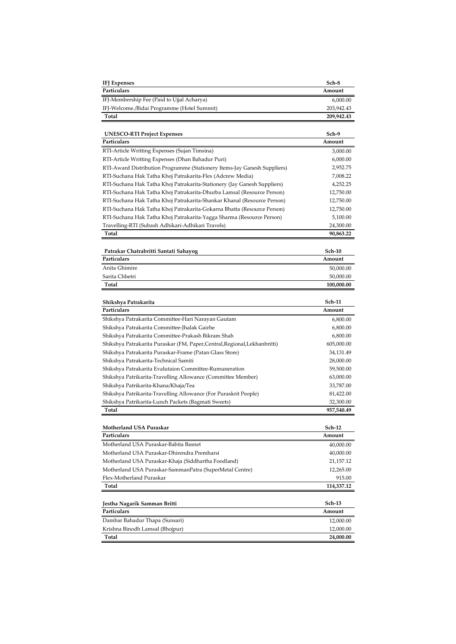| Particulars<br>Amount<br>IFJ-Membership Fee (Paid to Ujjal Acharya)<br>6,000.00<br>IFJ-Welcome./Bidai Programme (Hotel Summit)<br>203,942.43<br>Total<br>209,942.43<br>Sch-9<br><b>UNESCO-RTI Project Expenses</b><br>Particulars<br>Amount<br>RTI-Article Writting Expenses (Sujan Timsina)<br>3,000.00<br>RTI-Article Writting Expenses (Dhan Bahadur Puri)<br>6,000.00<br>RTI-Award Distribution Programme (Stationery Items-Jay Ganesh Suppliers)<br>2,952.75<br>RTI-Suchana Hak Tatha Khoj Patrakarita-Flex (Adcrew Media)<br>7,008.22<br>RTI-Suchana Hak Tatha Khoj Patrakarita-Stationery (Jay Ganesh Suppliers)<br>4,252.25<br>RTI-Suchana Hak Tatha Khoj Patrakarita-Dhurba Lamsal (Resource Person)<br>12,750.00<br>RTI-Suchana Hak Tatha Khoj Patrakarita-Shankar Khanal (Resource Person)<br>12,750.00<br>RTI-Suchana Hak Tatha Khoj Patrakarita-Gokarna Bhatta (Resource Person)<br>12,750.00<br>RTI-Suchana Hak Tatha Khoj Patrakarita-Yagga Sharma (Resource Person)<br>5,100.00<br>Travelling-RTI (Subash Adhikari-Adhikari Travels)<br>24,300.00<br>Total<br>90,863.22<br>Patrakar Chatrabritti Santati Sahayog<br>Sch-10<br>Particulars<br>Amount<br>Anita Ghimire<br>50,000.00<br>Sarita Chhetri<br>50,000.00<br>Total<br>100,000.00<br><b>Sch-11</b><br>Shikshya Patrakarita<br>Particulars<br>Amount<br>Shikshya Patrakarita Committee-Hari Narayan Gautam<br>6,800.00<br>Shikshya Patrakarita Committee-Jhalak Gairhe<br>6,800.00<br>Shikshya Patrakarita Committee-Prakash Bikram Shah<br>6,800.00<br>Shikshya Patrakarita Puraskar (FM, Paper, Central, Regional, Lekhanbritti)<br>605,000.00<br>Shikshya Patrakarita Puraskar-Frame (Patan Glass Store)<br>34,131.49<br>Shikshya Patrakarita-Technical Samiti<br>28,000.00<br>Shikshya Patrakarita Evalutaion Committee-Rumuneration<br>59,500.00<br>Shikshya Patrikarita-Travelling Allowance (Committee Member)<br>63,000.00<br>Shikshya Patrikarita-Khana/Khaja/Tea<br>33,787.00<br>Shikshya Patrikarita-Travelling Allowance (For Puraskrit People)<br>81,422.00<br>Shikshya Patrikarita-Lunch Packets (Bagmati Sweets)<br>32,300.00<br>Total<br>957,540.49<br>Motherland USA Puraskar<br><b>Sch-12</b><br>Particulars<br>Amount<br>Motherland USA Puraskar-Babita Basnet<br>40,000.00<br>Motherland USA Puraskar-Dhirendra Premharsi<br>40,000.00<br>Motherland USA Puraskar-Khaja (Siddhartha Foodland)<br>21,157.12<br>Motherland USA Puraskar-SammanPatra (SuperMetal Centre)<br>12,265.00<br>Flex-Motherland Puraskar<br>915.00<br>Total<br>114,337.12<br>Sch-13<br>Jestha Nagarik Samman Britti<br>Particulars<br>Amount<br>Dambar Bahadur Thapa (Sunsari)<br>12,000.00<br>Krishna Binodh Lamsal (Bhojpur)<br>12,000.00<br>Total<br>24,000.00 | <b>IFJ</b> Expenses | Sch-8 |
|----------------------------------------------------------------------------------------------------------------------------------------------------------------------------------------------------------------------------------------------------------------------------------------------------------------------------------------------------------------------------------------------------------------------------------------------------------------------------------------------------------------------------------------------------------------------------------------------------------------------------------------------------------------------------------------------------------------------------------------------------------------------------------------------------------------------------------------------------------------------------------------------------------------------------------------------------------------------------------------------------------------------------------------------------------------------------------------------------------------------------------------------------------------------------------------------------------------------------------------------------------------------------------------------------------------------------------------------------------------------------------------------------------------------------------------------------------------------------------------------------------------------------------------------------------------------------------------------------------------------------------------------------------------------------------------------------------------------------------------------------------------------------------------------------------------------------------------------------------------------------------------------------------------------------------------------------------------------------------------------------------------------------------------------------------------------------------------------------------------------------------------------------------------------------------------------------------------------------------------------------------------------------------------------------------------------------------------------------------------------------------------------------------------------------------------------------------------------------------------------------------------------------------------------------------------------------------------------------------------------------------------------------------------------------------------------------------------------------------|---------------------|-------|
|                                                                                                                                                                                                                                                                                                                                                                                                                                                                                                                                                                                                                                                                                                                                                                                                                                                                                                                                                                                                                                                                                                                                                                                                                                                                                                                                                                                                                                                                                                                                                                                                                                                                                                                                                                                                                                                                                                                                                                                                                                                                                                                                                                                                                                                                                                                                                                                                                                                                                                                                                                                                                                                                                                                                  |                     |       |
|                                                                                                                                                                                                                                                                                                                                                                                                                                                                                                                                                                                                                                                                                                                                                                                                                                                                                                                                                                                                                                                                                                                                                                                                                                                                                                                                                                                                                                                                                                                                                                                                                                                                                                                                                                                                                                                                                                                                                                                                                                                                                                                                                                                                                                                                                                                                                                                                                                                                                                                                                                                                                                                                                                                                  |                     |       |
|                                                                                                                                                                                                                                                                                                                                                                                                                                                                                                                                                                                                                                                                                                                                                                                                                                                                                                                                                                                                                                                                                                                                                                                                                                                                                                                                                                                                                                                                                                                                                                                                                                                                                                                                                                                                                                                                                                                                                                                                                                                                                                                                                                                                                                                                                                                                                                                                                                                                                                                                                                                                                                                                                                                                  |                     |       |
|                                                                                                                                                                                                                                                                                                                                                                                                                                                                                                                                                                                                                                                                                                                                                                                                                                                                                                                                                                                                                                                                                                                                                                                                                                                                                                                                                                                                                                                                                                                                                                                                                                                                                                                                                                                                                                                                                                                                                                                                                                                                                                                                                                                                                                                                                                                                                                                                                                                                                                                                                                                                                                                                                                                                  |                     |       |
|                                                                                                                                                                                                                                                                                                                                                                                                                                                                                                                                                                                                                                                                                                                                                                                                                                                                                                                                                                                                                                                                                                                                                                                                                                                                                                                                                                                                                                                                                                                                                                                                                                                                                                                                                                                                                                                                                                                                                                                                                                                                                                                                                                                                                                                                                                                                                                                                                                                                                                                                                                                                                                                                                                                                  |                     |       |
|                                                                                                                                                                                                                                                                                                                                                                                                                                                                                                                                                                                                                                                                                                                                                                                                                                                                                                                                                                                                                                                                                                                                                                                                                                                                                                                                                                                                                                                                                                                                                                                                                                                                                                                                                                                                                                                                                                                                                                                                                                                                                                                                                                                                                                                                                                                                                                                                                                                                                                                                                                                                                                                                                                                                  |                     |       |
|                                                                                                                                                                                                                                                                                                                                                                                                                                                                                                                                                                                                                                                                                                                                                                                                                                                                                                                                                                                                                                                                                                                                                                                                                                                                                                                                                                                                                                                                                                                                                                                                                                                                                                                                                                                                                                                                                                                                                                                                                                                                                                                                                                                                                                                                                                                                                                                                                                                                                                                                                                                                                                                                                                                                  |                     |       |
|                                                                                                                                                                                                                                                                                                                                                                                                                                                                                                                                                                                                                                                                                                                                                                                                                                                                                                                                                                                                                                                                                                                                                                                                                                                                                                                                                                                                                                                                                                                                                                                                                                                                                                                                                                                                                                                                                                                                                                                                                                                                                                                                                                                                                                                                                                                                                                                                                                                                                                                                                                                                                                                                                                                                  |                     |       |
|                                                                                                                                                                                                                                                                                                                                                                                                                                                                                                                                                                                                                                                                                                                                                                                                                                                                                                                                                                                                                                                                                                                                                                                                                                                                                                                                                                                                                                                                                                                                                                                                                                                                                                                                                                                                                                                                                                                                                                                                                                                                                                                                                                                                                                                                                                                                                                                                                                                                                                                                                                                                                                                                                                                                  |                     |       |
|                                                                                                                                                                                                                                                                                                                                                                                                                                                                                                                                                                                                                                                                                                                                                                                                                                                                                                                                                                                                                                                                                                                                                                                                                                                                                                                                                                                                                                                                                                                                                                                                                                                                                                                                                                                                                                                                                                                                                                                                                                                                                                                                                                                                                                                                                                                                                                                                                                                                                                                                                                                                                                                                                                                                  |                     |       |
|                                                                                                                                                                                                                                                                                                                                                                                                                                                                                                                                                                                                                                                                                                                                                                                                                                                                                                                                                                                                                                                                                                                                                                                                                                                                                                                                                                                                                                                                                                                                                                                                                                                                                                                                                                                                                                                                                                                                                                                                                                                                                                                                                                                                                                                                                                                                                                                                                                                                                                                                                                                                                                                                                                                                  |                     |       |
|                                                                                                                                                                                                                                                                                                                                                                                                                                                                                                                                                                                                                                                                                                                                                                                                                                                                                                                                                                                                                                                                                                                                                                                                                                                                                                                                                                                                                                                                                                                                                                                                                                                                                                                                                                                                                                                                                                                                                                                                                                                                                                                                                                                                                                                                                                                                                                                                                                                                                                                                                                                                                                                                                                                                  |                     |       |
|                                                                                                                                                                                                                                                                                                                                                                                                                                                                                                                                                                                                                                                                                                                                                                                                                                                                                                                                                                                                                                                                                                                                                                                                                                                                                                                                                                                                                                                                                                                                                                                                                                                                                                                                                                                                                                                                                                                                                                                                                                                                                                                                                                                                                                                                                                                                                                                                                                                                                                                                                                                                                                                                                                                                  |                     |       |
|                                                                                                                                                                                                                                                                                                                                                                                                                                                                                                                                                                                                                                                                                                                                                                                                                                                                                                                                                                                                                                                                                                                                                                                                                                                                                                                                                                                                                                                                                                                                                                                                                                                                                                                                                                                                                                                                                                                                                                                                                                                                                                                                                                                                                                                                                                                                                                                                                                                                                                                                                                                                                                                                                                                                  |                     |       |
|                                                                                                                                                                                                                                                                                                                                                                                                                                                                                                                                                                                                                                                                                                                                                                                                                                                                                                                                                                                                                                                                                                                                                                                                                                                                                                                                                                                                                                                                                                                                                                                                                                                                                                                                                                                                                                                                                                                                                                                                                                                                                                                                                                                                                                                                                                                                                                                                                                                                                                                                                                                                                                                                                                                                  |                     |       |
|                                                                                                                                                                                                                                                                                                                                                                                                                                                                                                                                                                                                                                                                                                                                                                                                                                                                                                                                                                                                                                                                                                                                                                                                                                                                                                                                                                                                                                                                                                                                                                                                                                                                                                                                                                                                                                                                                                                                                                                                                                                                                                                                                                                                                                                                                                                                                                                                                                                                                                                                                                                                                                                                                                                                  |                     |       |
|                                                                                                                                                                                                                                                                                                                                                                                                                                                                                                                                                                                                                                                                                                                                                                                                                                                                                                                                                                                                                                                                                                                                                                                                                                                                                                                                                                                                                                                                                                                                                                                                                                                                                                                                                                                                                                                                                                                                                                                                                                                                                                                                                                                                                                                                                                                                                                                                                                                                                                                                                                                                                                                                                                                                  |                     |       |
|                                                                                                                                                                                                                                                                                                                                                                                                                                                                                                                                                                                                                                                                                                                                                                                                                                                                                                                                                                                                                                                                                                                                                                                                                                                                                                                                                                                                                                                                                                                                                                                                                                                                                                                                                                                                                                                                                                                                                                                                                                                                                                                                                                                                                                                                                                                                                                                                                                                                                                                                                                                                                                                                                                                                  |                     |       |
|                                                                                                                                                                                                                                                                                                                                                                                                                                                                                                                                                                                                                                                                                                                                                                                                                                                                                                                                                                                                                                                                                                                                                                                                                                                                                                                                                                                                                                                                                                                                                                                                                                                                                                                                                                                                                                                                                                                                                                                                                                                                                                                                                                                                                                                                                                                                                                                                                                                                                                                                                                                                                                                                                                                                  |                     |       |
|                                                                                                                                                                                                                                                                                                                                                                                                                                                                                                                                                                                                                                                                                                                                                                                                                                                                                                                                                                                                                                                                                                                                                                                                                                                                                                                                                                                                                                                                                                                                                                                                                                                                                                                                                                                                                                                                                                                                                                                                                                                                                                                                                                                                                                                                                                                                                                                                                                                                                                                                                                                                                                                                                                                                  |                     |       |
|                                                                                                                                                                                                                                                                                                                                                                                                                                                                                                                                                                                                                                                                                                                                                                                                                                                                                                                                                                                                                                                                                                                                                                                                                                                                                                                                                                                                                                                                                                                                                                                                                                                                                                                                                                                                                                                                                                                                                                                                                                                                                                                                                                                                                                                                                                                                                                                                                                                                                                                                                                                                                                                                                                                                  |                     |       |
|                                                                                                                                                                                                                                                                                                                                                                                                                                                                                                                                                                                                                                                                                                                                                                                                                                                                                                                                                                                                                                                                                                                                                                                                                                                                                                                                                                                                                                                                                                                                                                                                                                                                                                                                                                                                                                                                                                                                                                                                                                                                                                                                                                                                                                                                                                                                                                                                                                                                                                                                                                                                                                                                                                                                  |                     |       |
|                                                                                                                                                                                                                                                                                                                                                                                                                                                                                                                                                                                                                                                                                                                                                                                                                                                                                                                                                                                                                                                                                                                                                                                                                                                                                                                                                                                                                                                                                                                                                                                                                                                                                                                                                                                                                                                                                                                                                                                                                                                                                                                                                                                                                                                                                                                                                                                                                                                                                                                                                                                                                                                                                                                                  |                     |       |
|                                                                                                                                                                                                                                                                                                                                                                                                                                                                                                                                                                                                                                                                                                                                                                                                                                                                                                                                                                                                                                                                                                                                                                                                                                                                                                                                                                                                                                                                                                                                                                                                                                                                                                                                                                                                                                                                                                                                                                                                                                                                                                                                                                                                                                                                                                                                                                                                                                                                                                                                                                                                                                                                                                                                  |                     |       |
|                                                                                                                                                                                                                                                                                                                                                                                                                                                                                                                                                                                                                                                                                                                                                                                                                                                                                                                                                                                                                                                                                                                                                                                                                                                                                                                                                                                                                                                                                                                                                                                                                                                                                                                                                                                                                                                                                                                                                                                                                                                                                                                                                                                                                                                                                                                                                                                                                                                                                                                                                                                                                                                                                                                                  |                     |       |
|                                                                                                                                                                                                                                                                                                                                                                                                                                                                                                                                                                                                                                                                                                                                                                                                                                                                                                                                                                                                                                                                                                                                                                                                                                                                                                                                                                                                                                                                                                                                                                                                                                                                                                                                                                                                                                                                                                                                                                                                                                                                                                                                                                                                                                                                                                                                                                                                                                                                                                                                                                                                                                                                                                                                  |                     |       |
|                                                                                                                                                                                                                                                                                                                                                                                                                                                                                                                                                                                                                                                                                                                                                                                                                                                                                                                                                                                                                                                                                                                                                                                                                                                                                                                                                                                                                                                                                                                                                                                                                                                                                                                                                                                                                                                                                                                                                                                                                                                                                                                                                                                                                                                                                                                                                                                                                                                                                                                                                                                                                                                                                                                                  |                     |       |
|                                                                                                                                                                                                                                                                                                                                                                                                                                                                                                                                                                                                                                                                                                                                                                                                                                                                                                                                                                                                                                                                                                                                                                                                                                                                                                                                                                                                                                                                                                                                                                                                                                                                                                                                                                                                                                                                                                                                                                                                                                                                                                                                                                                                                                                                                                                                                                                                                                                                                                                                                                                                                                                                                                                                  |                     |       |
|                                                                                                                                                                                                                                                                                                                                                                                                                                                                                                                                                                                                                                                                                                                                                                                                                                                                                                                                                                                                                                                                                                                                                                                                                                                                                                                                                                                                                                                                                                                                                                                                                                                                                                                                                                                                                                                                                                                                                                                                                                                                                                                                                                                                                                                                                                                                                                                                                                                                                                                                                                                                                                                                                                                                  |                     |       |
|                                                                                                                                                                                                                                                                                                                                                                                                                                                                                                                                                                                                                                                                                                                                                                                                                                                                                                                                                                                                                                                                                                                                                                                                                                                                                                                                                                                                                                                                                                                                                                                                                                                                                                                                                                                                                                                                                                                                                                                                                                                                                                                                                                                                                                                                                                                                                                                                                                                                                                                                                                                                                                                                                                                                  |                     |       |
|                                                                                                                                                                                                                                                                                                                                                                                                                                                                                                                                                                                                                                                                                                                                                                                                                                                                                                                                                                                                                                                                                                                                                                                                                                                                                                                                                                                                                                                                                                                                                                                                                                                                                                                                                                                                                                                                                                                                                                                                                                                                                                                                                                                                                                                                                                                                                                                                                                                                                                                                                                                                                                                                                                                                  |                     |       |
|                                                                                                                                                                                                                                                                                                                                                                                                                                                                                                                                                                                                                                                                                                                                                                                                                                                                                                                                                                                                                                                                                                                                                                                                                                                                                                                                                                                                                                                                                                                                                                                                                                                                                                                                                                                                                                                                                                                                                                                                                                                                                                                                                                                                                                                                                                                                                                                                                                                                                                                                                                                                                                                                                                                                  |                     |       |
|                                                                                                                                                                                                                                                                                                                                                                                                                                                                                                                                                                                                                                                                                                                                                                                                                                                                                                                                                                                                                                                                                                                                                                                                                                                                                                                                                                                                                                                                                                                                                                                                                                                                                                                                                                                                                                                                                                                                                                                                                                                                                                                                                                                                                                                                                                                                                                                                                                                                                                                                                                                                                                                                                                                                  |                     |       |
|                                                                                                                                                                                                                                                                                                                                                                                                                                                                                                                                                                                                                                                                                                                                                                                                                                                                                                                                                                                                                                                                                                                                                                                                                                                                                                                                                                                                                                                                                                                                                                                                                                                                                                                                                                                                                                                                                                                                                                                                                                                                                                                                                                                                                                                                                                                                                                                                                                                                                                                                                                                                                                                                                                                                  |                     |       |
|                                                                                                                                                                                                                                                                                                                                                                                                                                                                                                                                                                                                                                                                                                                                                                                                                                                                                                                                                                                                                                                                                                                                                                                                                                                                                                                                                                                                                                                                                                                                                                                                                                                                                                                                                                                                                                                                                                                                                                                                                                                                                                                                                                                                                                                                                                                                                                                                                                                                                                                                                                                                                                                                                                                                  |                     |       |
|                                                                                                                                                                                                                                                                                                                                                                                                                                                                                                                                                                                                                                                                                                                                                                                                                                                                                                                                                                                                                                                                                                                                                                                                                                                                                                                                                                                                                                                                                                                                                                                                                                                                                                                                                                                                                                                                                                                                                                                                                                                                                                                                                                                                                                                                                                                                                                                                                                                                                                                                                                                                                                                                                                                                  |                     |       |
|                                                                                                                                                                                                                                                                                                                                                                                                                                                                                                                                                                                                                                                                                                                                                                                                                                                                                                                                                                                                                                                                                                                                                                                                                                                                                                                                                                                                                                                                                                                                                                                                                                                                                                                                                                                                                                                                                                                                                                                                                                                                                                                                                                                                                                                                                                                                                                                                                                                                                                                                                                                                                                                                                                                                  |                     |       |
|                                                                                                                                                                                                                                                                                                                                                                                                                                                                                                                                                                                                                                                                                                                                                                                                                                                                                                                                                                                                                                                                                                                                                                                                                                                                                                                                                                                                                                                                                                                                                                                                                                                                                                                                                                                                                                                                                                                                                                                                                                                                                                                                                                                                                                                                                                                                                                                                                                                                                                                                                                                                                                                                                                                                  |                     |       |
|                                                                                                                                                                                                                                                                                                                                                                                                                                                                                                                                                                                                                                                                                                                                                                                                                                                                                                                                                                                                                                                                                                                                                                                                                                                                                                                                                                                                                                                                                                                                                                                                                                                                                                                                                                                                                                                                                                                                                                                                                                                                                                                                                                                                                                                                                                                                                                                                                                                                                                                                                                                                                                                                                                                                  |                     |       |
|                                                                                                                                                                                                                                                                                                                                                                                                                                                                                                                                                                                                                                                                                                                                                                                                                                                                                                                                                                                                                                                                                                                                                                                                                                                                                                                                                                                                                                                                                                                                                                                                                                                                                                                                                                                                                                                                                                                                                                                                                                                                                                                                                                                                                                                                                                                                                                                                                                                                                                                                                                                                                                                                                                                                  |                     |       |
|                                                                                                                                                                                                                                                                                                                                                                                                                                                                                                                                                                                                                                                                                                                                                                                                                                                                                                                                                                                                                                                                                                                                                                                                                                                                                                                                                                                                                                                                                                                                                                                                                                                                                                                                                                                                                                                                                                                                                                                                                                                                                                                                                                                                                                                                                                                                                                                                                                                                                                                                                                                                                                                                                                                                  |                     |       |
|                                                                                                                                                                                                                                                                                                                                                                                                                                                                                                                                                                                                                                                                                                                                                                                                                                                                                                                                                                                                                                                                                                                                                                                                                                                                                                                                                                                                                                                                                                                                                                                                                                                                                                                                                                                                                                                                                                                                                                                                                                                                                                                                                                                                                                                                                                                                                                                                                                                                                                                                                                                                                                                                                                                                  |                     |       |
|                                                                                                                                                                                                                                                                                                                                                                                                                                                                                                                                                                                                                                                                                                                                                                                                                                                                                                                                                                                                                                                                                                                                                                                                                                                                                                                                                                                                                                                                                                                                                                                                                                                                                                                                                                                                                                                                                                                                                                                                                                                                                                                                                                                                                                                                                                                                                                                                                                                                                                                                                                                                                                                                                                                                  |                     |       |
|                                                                                                                                                                                                                                                                                                                                                                                                                                                                                                                                                                                                                                                                                                                                                                                                                                                                                                                                                                                                                                                                                                                                                                                                                                                                                                                                                                                                                                                                                                                                                                                                                                                                                                                                                                                                                                                                                                                                                                                                                                                                                                                                                                                                                                                                                                                                                                                                                                                                                                                                                                                                                                                                                                                                  |                     |       |
|                                                                                                                                                                                                                                                                                                                                                                                                                                                                                                                                                                                                                                                                                                                                                                                                                                                                                                                                                                                                                                                                                                                                                                                                                                                                                                                                                                                                                                                                                                                                                                                                                                                                                                                                                                                                                                                                                                                                                                                                                                                                                                                                                                                                                                                                                                                                                                                                                                                                                                                                                                                                                                                                                                                                  |                     |       |
|                                                                                                                                                                                                                                                                                                                                                                                                                                                                                                                                                                                                                                                                                                                                                                                                                                                                                                                                                                                                                                                                                                                                                                                                                                                                                                                                                                                                                                                                                                                                                                                                                                                                                                                                                                                                                                                                                                                                                                                                                                                                                                                                                                                                                                                                                                                                                                                                                                                                                                                                                                                                                                                                                                                                  |                     |       |
|                                                                                                                                                                                                                                                                                                                                                                                                                                                                                                                                                                                                                                                                                                                                                                                                                                                                                                                                                                                                                                                                                                                                                                                                                                                                                                                                                                                                                                                                                                                                                                                                                                                                                                                                                                                                                                                                                                                                                                                                                                                                                                                                                                                                                                                                                                                                                                                                                                                                                                                                                                                                                                                                                                                                  |                     |       |
|                                                                                                                                                                                                                                                                                                                                                                                                                                                                                                                                                                                                                                                                                                                                                                                                                                                                                                                                                                                                                                                                                                                                                                                                                                                                                                                                                                                                                                                                                                                                                                                                                                                                                                                                                                                                                                                                                                                                                                                                                                                                                                                                                                                                                                                                                                                                                                                                                                                                                                                                                                                                                                                                                                                                  |                     |       |
|                                                                                                                                                                                                                                                                                                                                                                                                                                                                                                                                                                                                                                                                                                                                                                                                                                                                                                                                                                                                                                                                                                                                                                                                                                                                                                                                                                                                                                                                                                                                                                                                                                                                                                                                                                                                                                                                                                                                                                                                                                                                                                                                                                                                                                                                                                                                                                                                                                                                                                                                                                                                                                                                                                                                  |                     |       |
|                                                                                                                                                                                                                                                                                                                                                                                                                                                                                                                                                                                                                                                                                                                                                                                                                                                                                                                                                                                                                                                                                                                                                                                                                                                                                                                                                                                                                                                                                                                                                                                                                                                                                                                                                                                                                                                                                                                                                                                                                                                                                                                                                                                                                                                                                                                                                                                                                                                                                                                                                                                                                                                                                                                                  |                     |       |
|                                                                                                                                                                                                                                                                                                                                                                                                                                                                                                                                                                                                                                                                                                                                                                                                                                                                                                                                                                                                                                                                                                                                                                                                                                                                                                                                                                                                                                                                                                                                                                                                                                                                                                                                                                                                                                                                                                                                                                                                                                                                                                                                                                                                                                                                                                                                                                                                                                                                                                                                                                                                                                                                                                                                  |                     |       |
|                                                                                                                                                                                                                                                                                                                                                                                                                                                                                                                                                                                                                                                                                                                                                                                                                                                                                                                                                                                                                                                                                                                                                                                                                                                                                                                                                                                                                                                                                                                                                                                                                                                                                                                                                                                                                                                                                                                                                                                                                                                                                                                                                                                                                                                                                                                                                                                                                                                                                                                                                                                                                                                                                                                                  |                     |       |
|                                                                                                                                                                                                                                                                                                                                                                                                                                                                                                                                                                                                                                                                                                                                                                                                                                                                                                                                                                                                                                                                                                                                                                                                                                                                                                                                                                                                                                                                                                                                                                                                                                                                                                                                                                                                                                                                                                                                                                                                                                                                                                                                                                                                                                                                                                                                                                                                                                                                                                                                                                                                                                                                                                                                  |                     |       |
|                                                                                                                                                                                                                                                                                                                                                                                                                                                                                                                                                                                                                                                                                                                                                                                                                                                                                                                                                                                                                                                                                                                                                                                                                                                                                                                                                                                                                                                                                                                                                                                                                                                                                                                                                                                                                                                                                                                                                                                                                                                                                                                                                                                                                                                                                                                                                                                                                                                                                                                                                                                                                                                                                                                                  |                     |       |